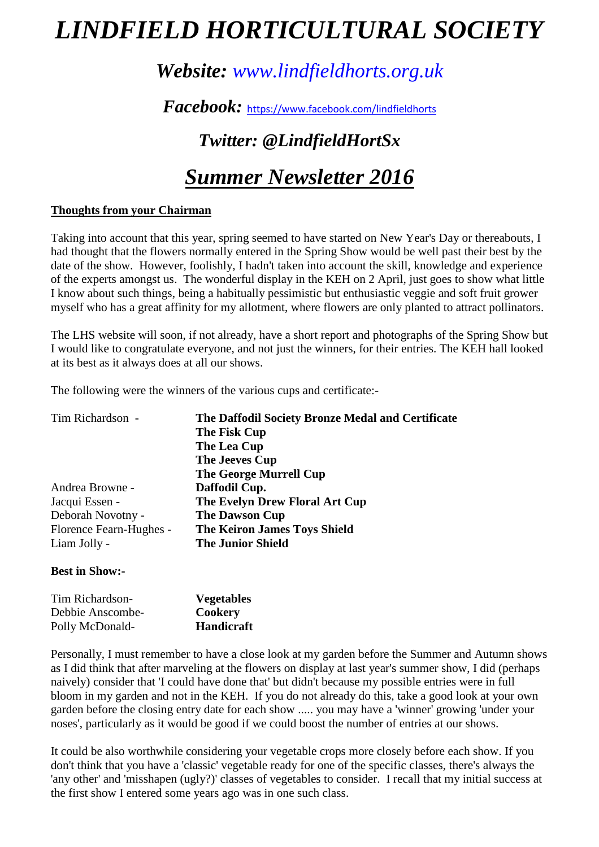# *LINDFIELD HORTICULTURAL SOCIETY*

### *Website: www.lindfieldhorts.org.uk*

*Facebook:* https://www.facebook.com/lindfieldhorts

## *Twitter: @LindfieldHortSx*

## *Summer Newsletter 2016*

#### **Thoughts from your Chairman**

Taking into account that this year, spring seemed to have started on New Year's Day or thereabouts, I had thought that the flowers normally entered in the Spring Show would be well past their best by the date of the show. However, foolishly, I hadn't taken into account the skill, knowledge and experience of the experts amongst us. The wonderful display in the KEH on 2 April, just goes to show what little I know about such things, being a habitually pessimistic but enthusiastic veggie and soft fruit grower myself who has a great affinity for my allotment, where flowers are only planted to attract pollinators.

The LHS website will soon, if not already, have a short report and photographs of the Spring Show but I would like to congratulate everyone, and not just the winners, for their entries. The KEH hall looked at its best as it always does at all our shows.

The following were the winners of the various cups and certificate:-

| The Daffodil Society Bronze Medal and Certificate |  |  |
|---------------------------------------------------|--|--|
| The Fisk Cup                                      |  |  |
| The Lea Cup                                       |  |  |
| The Jeeves Cup                                    |  |  |
| <b>The George Murrell Cup</b>                     |  |  |
| Daffodil Cup.                                     |  |  |
| The Evelyn Drew Floral Art Cup                    |  |  |
| <b>The Dawson Cup</b>                             |  |  |
| <b>The Keiron James Toys Shield</b>               |  |  |
| <b>The Junior Shield</b>                          |  |  |
|                                                   |  |  |

#### **Best in Show:-**

| Tim Richardson-  | <b>Vegetables</b> |
|------------------|-------------------|
| Debbie Anscombe- | Cookery           |
| Polly McDonald-  | <b>Handicraft</b> |

Personally, I must remember to have a close look at my garden before the Summer and Autumn shows as I did think that after marveling at the flowers on display at last year's summer show, I did (perhaps naively) consider that 'I could have done that' but didn't because my possible entries were in full bloom in my garden and not in the KEH. If you do not already do this, take a good look at your own garden before the closing entry date for each show ..... you may have a 'winner' growing 'under your noses', particularly as it would be good if we could boost the number of entries at our shows.

It could be also worthwhile considering your vegetable crops more closely before each show. If you don't think that you have a 'classic' vegetable ready for one of the specific classes, there's always the 'any other' and 'misshapen (ugly?)' classes of vegetables to consider. I recall that my initial success at the first show I entered some years ago was in one such class.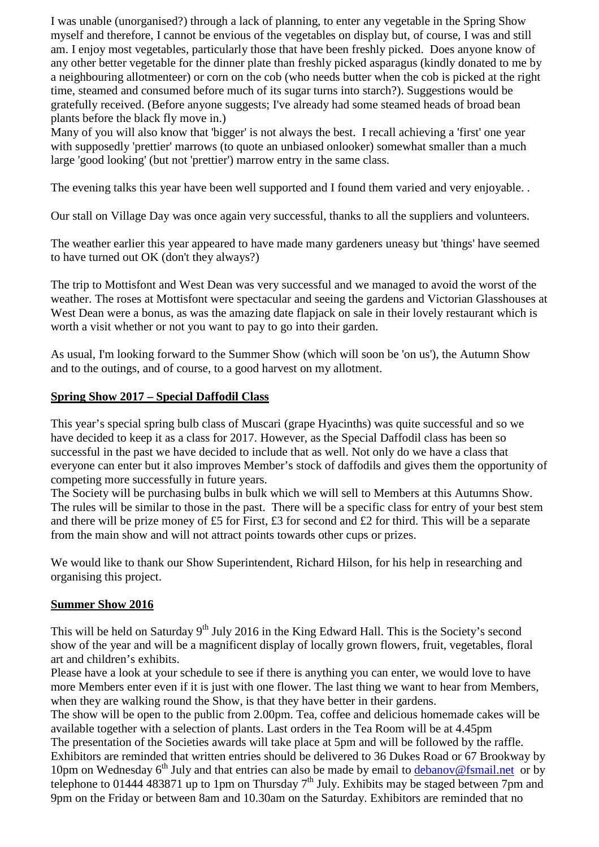I was unable (unorganised?) through a lack of planning, to enter any vegetable in the Spring Show myself and therefore, I cannot be envious of the vegetables on display but, of course, I was and still am. I enjoy most vegetables, particularly those that have been freshly picked. Does anyone know of any other better vegetable for the dinner plate than freshly picked asparagus (kindly donated to me by a neighbouring allotmenteer) or corn on the cob (who needs butter when the cob is picked at the right time, steamed and consumed before much of its sugar turns into starch?). Suggestions would be gratefully received. (Before anyone suggests; I've already had some steamed heads of broad bean plants before the black fly move in.)

Many of you will also know that 'bigger' is not always the best. I recall achieving a 'first' one year with supposedly 'prettier' marrows (to quote an unbiased onlooker) somewhat smaller than a much large 'good looking' (but not 'prettier') marrow entry in the same class.

The evening talks this year have been well supported and I found them varied and very enjoyable.

Our stall on Village Day was once again very successful, thanks to all the suppliers and volunteers.

The weather earlier this year appeared to have made many gardeners uneasy but 'things' have seemed to have turned out OK (don't they always?)

The trip to Mottisfont and West Dean was very successful and we managed to avoid the worst of the weather. The roses at Mottisfont were spectacular and seeing the gardens and Victorian Glasshouses at West Dean were a bonus, as was the amazing date flapjack on sale in their lovely restaurant which is worth a visit whether or not you want to pay to go into their garden.

As usual, I'm looking forward to the Summer Show (which will soon be 'on us'), the Autumn Show and to the outings, and of course, to a good harvest on my allotment.

#### **Spring Show 2017 – Special Daffodil Class**

This year's special spring bulb class of Muscari (grape Hyacinths) was quite successful and so we have decided to keep it as a class for 2017. However, as the Special Daffodil class has been so successful in the past we have decided to include that as well. Not only do we have a class that everyone can enter but it also improves Member's stock of daffodils and gives them the opportunity of competing more successfully in future years.

The Society will be purchasing bulbs in bulk which we will sell to Members at this Autumns Show. The rules will be similar to those in the past. There will be a specific class for entry of your best stem and there will be prize money of £5 for First, £3 for second and £2 for third. This will be a separate from the main show and will not attract points towards other cups or prizes.

We would like to thank our Show Superintendent, Richard Hilson, for his help in researching and organising this project.

#### **Summer Show 2016**

This will be held on Saturday  $9<sup>th</sup>$  July 2016 in the King Edward Hall. This is the Society's second show of the year and will be a magnificent display of locally grown flowers, fruit, vegetables, floral art and children's exhibits.

Please have a look at your schedule to see if there is anything you can enter, we would love to have more Members enter even if it is just with one flower. The last thing we want to hear from Members, when they are walking round the Show, is that they have better in their gardens.

The show will be open to the public from 2.00pm. Tea, coffee and delicious homemade cakes will be available together with a selection of plants. Last orders in the Tea Room will be at 4.45pm The presentation of the Societies awards will take place at 5pm and will be followed by the raffle. Exhibitors are reminded that written entries should be delivered to 36 Dukes Road or 67 Brookway by 10pm on Wednesday  $6<sup>th</sup>$  July and that entries can also be made by email to debanov@fsmail.net or by telephone to 01444 483871 up to 1pm on Thursday  $7<sup>th</sup>$  July. Exhibits may be staged between 7pm and 9pm on the Friday or between 8am and 10.30am on the Saturday. Exhibitors are reminded that no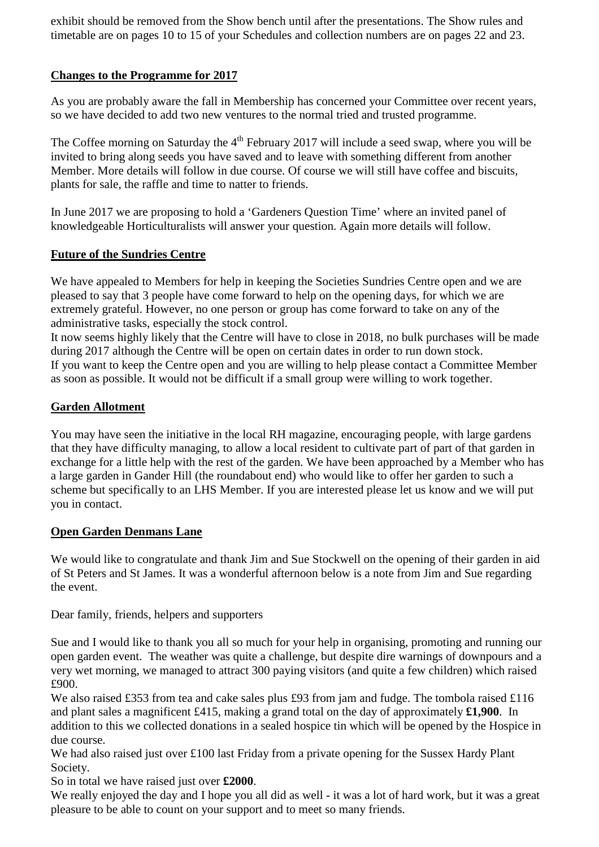exhibit should be removed from the Show bench until after the presentations. The Show rules and timetable are on pages 10 to 15 of your Schedules and collection numbers are on pages 22 and 23.

#### **Changes to the Programme for 2017**

As you are probably aware the fall in Membership has concerned your Committee over recent years, so we have decided to add two new ventures to the normal tried and trusted programme.

The Coffee morning on Saturday the 4<sup>th</sup> February 2017 will include a seed swap, where you will be invited to bring along seeds you have saved and to leave with something different from another Member. More details will follow in due course. Of course we will still have coffee and biscuits, plants for sale, the raffle and time to natter to friends.

In June 2017 we are proposing to hold a 'Gardeners Question Time' where an invited panel of knowledgeable Horticulturalists will answer your question. Again more details will follow.

#### **Future of the Sundries Centre**

We have appealed to Members for help in keeping the Societies Sundries Centre open and we are pleased to say that 3 people have come forward to help on the opening days, for which we are extremely grateful. However, no one person or group has come forward to take on any of the administrative tasks, especially the stock control.

It now seems highly likely that the Centre will have to close in 2018, no bulk purchases will be made during 2017 although the Centre will be open on certain dates in order to run down stock. If you want to keep the Centre open and you are willing to help please contact a Committee Member as soon as possible. It would not be difficult if a small group were willing to work together.

#### **Garden Allotment**

You may have seen the initiative in the local RH magazine, encouraging people, with large gardens that they have difficulty managing, to allow a local resident to cultivate part of part of that garden in exchange for a little help with the rest of the garden. We have been approached by a Member who has a large garden in Gander Hill (the roundabout end) who would like to offer her garden to such a scheme but specifically to an LHS Member. If you are interested please let us know and we will put you in contact.

#### **Open Garden Denmans Lane**

We would like to congratulate and thank Jim and Sue Stockwell on the opening of their garden in aid of St Peters and St James. It was a wonderful afternoon below is a note from Jim and Sue regarding the event.

Dear family, friends, helpers and supporters

Sue and I would like to thank you all so much for your help in organising, promoting and running our open garden event. The weather was quite a challenge, but despite dire warnings of downpours and a very wet morning, we managed to attract 300 paying visitors (and quite a few children) which raised £900.

We also raised £353 from tea and cake sales plus £93 from jam and fudge. The tombola raised £116 and plant sales a magnificent £415, making a grand total on the day of approximately **£1,900**. In addition to this we collected donations in a sealed hospice tin which will be opened by the Hospice in due course.

We had also raised just over £100 last Friday from a private opening for the Sussex Hardy Plant Society.

So in total we have raised just over **£2000**.

We really enjoyed the day and I hope you all did as well - it was a lot of hard work, but it was a great pleasure to be able to count on your support and to meet so many friends.